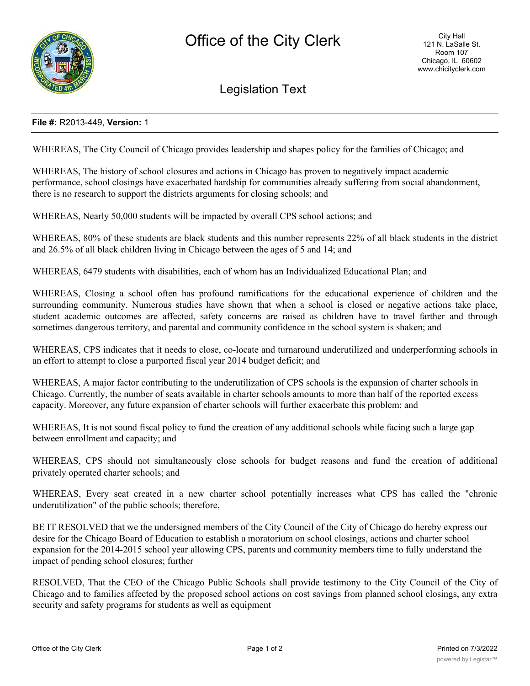

Legislation Text

## **File #:** R2013-449, **Version:** 1

WHEREAS, The City Council of Chicago provides leadership and shapes policy for the families of Chicago; and

WHEREAS, The history of school closures and actions in Chicago has proven to negatively impact academic performance, school closings have exacerbated hardship for communities already suffering from social abandonment, there is no research to support the districts arguments for closing schools; and

WHEREAS, Nearly 50,000 students will be impacted by overall CPS school actions; and

WHEREAS, 80% of these students are black students and this number represents 22% of all black students in the district and 26.5% of all black children living in Chicago between the ages of 5 and 14; and

WHEREAS, 6479 students with disabilities, each of whom has an Individualized Educational Plan; and

WHEREAS, Closing a school often has profound ramifications for the educational experience of children and the surrounding community. Numerous studies have shown that when a school is closed or negative actions take place, student academic outcomes are affected, safety concerns are raised as children have to travel farther and through sometimes dangerous territory, and parental and community confidence in the school system is shaken; and

WHEREAS, CPS indicates that it needs to close, co-locate and turnaround underutilized and underperforming schools in an effort to attempt to close a purported fiscal year 2014 budget deficit; and

WHEREAS, A major factor contributing to the underutilization of CPS schools is the expansion of charter schools in Chicago. Currently, the number of seats available in charter schools amounts to more than half of the reported excess capacity. Moreover, any future expansion of charter schools will further exacerbate this problem; and

WHEREAS, It is not sound fiscal policy to fund the creation of any additional schools while facing such a large gap between enrollment and capacity; and

WHEREAS, CPS should not simultaneously close schools for budget reasons and fund the creation of additional privately operated charter schools; and

WHEREAS, Every seat created in a new charter school potentially increases what CPS has called the "chronic underutilization" of the public schools; therefore,

BE IT RESOLVED that we the undersigned members of the City Council of the City of Chicago do hereby express our desire for the Chicago Board of Education to establish a moratorium on school closings, actions and charter school expansion for the 2014-2015 school year allowing CPS, parents and community members time to fully understand the impact of pending school closures; further

RESOLVED, That the CEO of the Chicago Public Schools shall provide testimony to the City Council of the City of Chicago and to families affected by the proposed school actions on cost savings from planned school closings, any extra security and safety programs for students as well as equipment